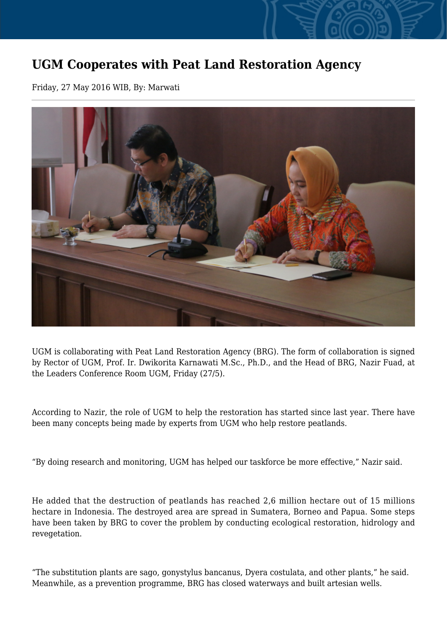## **UGM Cooperates with Peat Land Restoration Agency**

Friday, 27 May 2016 WIB, By: Marwati



UGM is collaborating with Peat Land Restoration Agency (BRG). The form of collaboration is signed by Rector of UGM, Prof. Ir. Dwikorita Karnawati M.Sc., Ph.D., and the Head of BRG, Nazir Fuad, at the Leaders Conference Room UGM, Friday (27/5).

According to Nazir, the role of UGM to help the restoration has started since last year. There have been many concepts being made by experts from UGM who help restore peatlands.

"By doing research and monitoring, UGM has helped our taskforce be more effective," Nazir said.

He added that the destruction of peatlands has reached 2,6 million hectare out of 15 millions hectare in Indonesia. The destroyed area are spread in Sumatera, Borneo and Papua. Some steps have been taken by BRG to cover the problem by conducting ecological restoration, hidrology and revegetation.

"The substitution plants are sago, gonystylus bancanus, Dyera costulata, and other plants," he said. Meanwhile, as a prevention programme, BRG has closed waterways and built artesian wells.